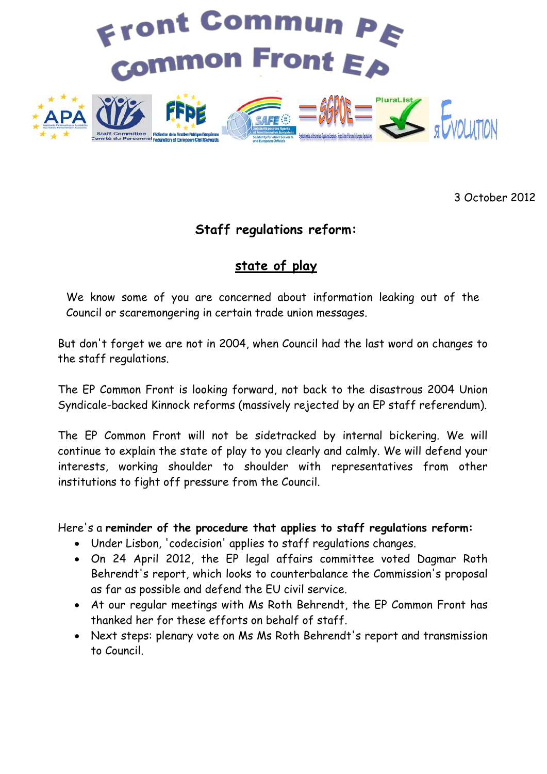

3 October 2012

## **Staff regulations reform:**

## **state of play**

We know some of you are concerned about information leaking out of the Council or scaremongering in certain trade union messages.

But don't forget we are not in 2004, when Council had the last word on changes to the staff regulations.

The EP Common Front is looking forward, not back to the disastrous 2004 Union Syndicale-backed Kinnock reforms (massively rejected by an EP staff referendum).

The EP Common Front will not be sidetracked by internal bickering. We will continue to explain the state of play to you clearly and calmly. We will defend your interests, working shoulder to shoulder with representatives from other institutions to fight off pressure from the Council.

Here's a **reminder of the procedure that applies to staff regulations reform:**

- Under Lisbon, 'codecision' applies to staff regulations changes.
- On 24 April 2012, the EP legal affairs committee voted Dagmar Roth Behrendt's report, which looks to counterbalance the Commission's proposal as far as possible and defend the EU civil service.
- At our regular meetings with Ms Roth Behrendt, the EP Common Front has thanked her for these efforts on behalf of staff.
- Next steps: plenary vote on Ms Ms Roth Behrendt's report and transmission to Council.